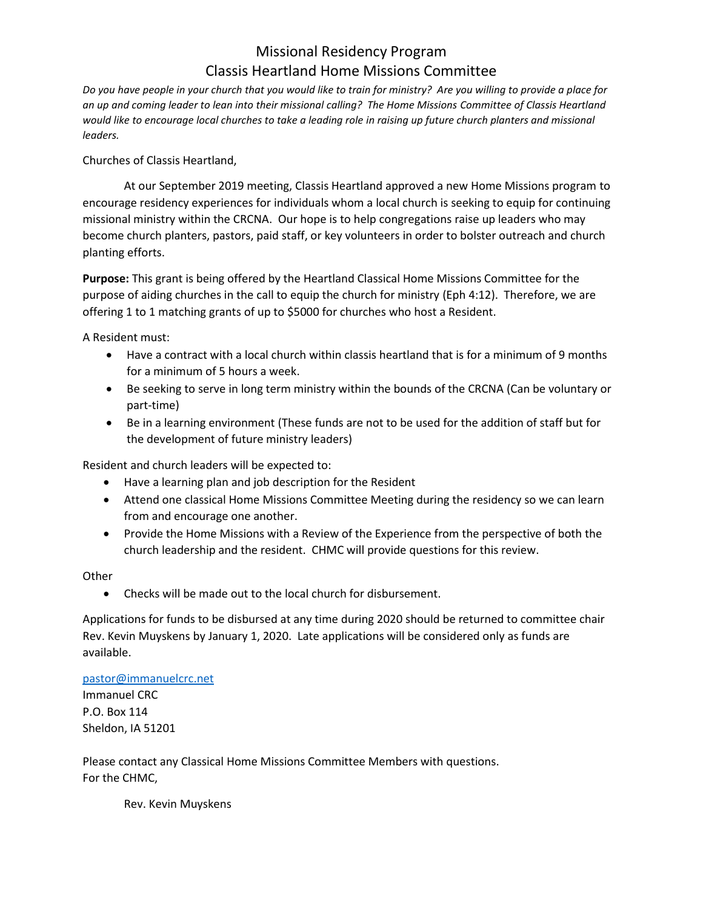## Missional Residency Program Classis Heartland Home Missions Committee

*Do you have people in your church that you would like to train for ministry? Are you willing to provide a place for an up and coming leader to lean into their missional calling? The Home Missions Committee of Classis Heartland would like to encourage local churches to take a leading role in raising up future church planters and missional leaders.*

Churches of Classis Heartland,

At our September 2019 meeting, Classis Heartland approved a new Home Missions program to encourage residency experiences for individuals whom a local church is seeking to equip for continuing missional ministry within the CRCNA. Our hope is to help congregations raise up leaders who may become church planters, pastors, paid staff, or key volunteers in order to bolster outreach and church planting efforts.

**Purpose:** This grant is being offered by the Heartland Classical Home Missions Committee for the purpose of aiding churches in the call to equip the church for ministry (Eph 4:12). Therefore, we are offering 1 to 1 matching grants of up to \$5000 for churches who host a Resident.

A Resident must:

- Have a contract with a local church within classis heartland that is for a minimum of 9 months for a minimum of 5 hours a week.
- Be seeking to serve in long term ministry within the bounds of the CRCNA (Can be voluntary or part-time)
- Be in a learning environment (These funds are not to be used for the addition of staff but for the development of future ministry leaders)

Resident and church leaders will be expected to:

- Have a learning plan and job description for the Resident
- Attend one classical Home Missions Committee Meeting during the residency so we can learn from and encourage one another.
- Provide the Home Missions with a Review of the Experience from the perspective of both the church leadership and the resident. CHMC will provide questions for this review.

**Other** 

• Checks will be made out to the local church for disbursement.

Applications for funds to be disbursed at any time during 2020 should be returned to committee chair Rev. Kevin Muyskens by January 1, 2020. Late applications will be considered only as funds are available.

[pastor@immanuelcrc.net](mailto:pastor@immanuelcrc.net) Immanuel CRC P.O. Box 114 Sheldon, IA 51201

Please contact any Classical Home Missions Committee Members with questions. For the CHMC,

Rev. Kevin Muyskens